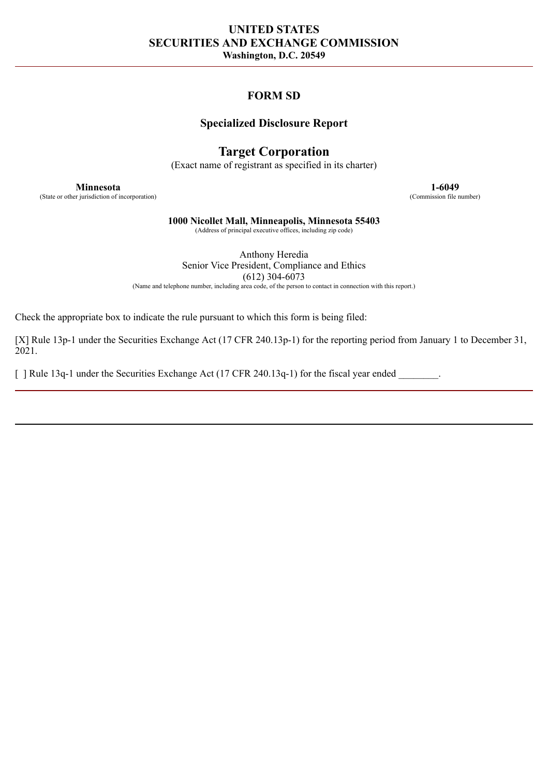# **UNITED STATES SECURITIES AND EXCHANGE COMMISSION Washington, D.C. 20549**

# **FORM SD**

## **Specialized Disclosure Report**

# **Target Corporation**

(Exact name of registrant as specified in its charter)

(State or other jurisdiction of incorporation)

**Minnesota 1-6049**<br> **1-6049 1-6049 (Commission file number)** 

**1000 Nicollet Mall, Minneapolis, Minnesota 55403**

(Address of principal executive offices, including zip code)

Anthony Heredia Senior Vice President, Compliance and Ethics  $(612)$  304-6073 (Name and telephone number, including area code, of the person to contact in connection with this report.)

Check the appropriate box to indicate the rule pursuant to which this form is being filed:

[X] Rule 13p-1 under the Securities Exchange Act (17 CFR 240.13p-1) for the reporting period from January 1 to December 31, 2021.

[ ] Rule 13q-1 under the Securities Exchange Act (17 CFR 240.13q-1) for the fiscal year ended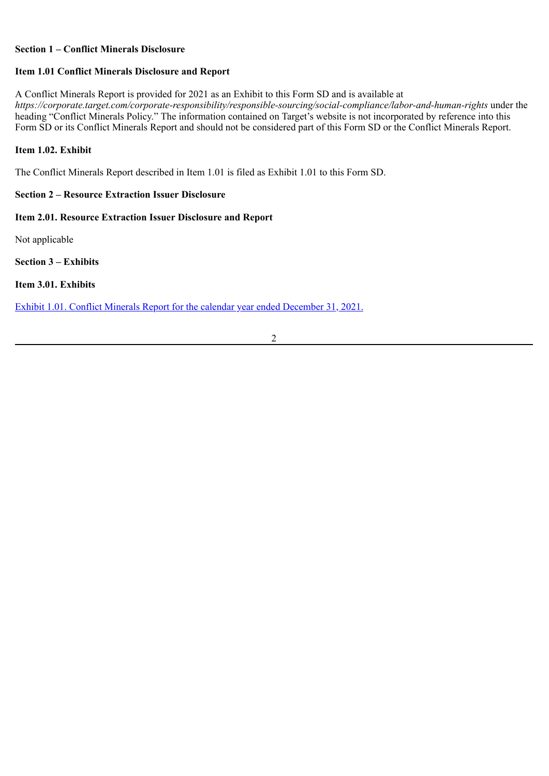#### **Section 1 – Conflict Minerals Disclosure**

#### **Item 1.01 Conflict Minerals Disclosure and Report**

A Conflict Minerals Report is provided for 2021 as an Exhibit to this Form SD and is available at *https://corporate.target.com/corporate-responsibility/responsible-sourcing/social-compliance/labor-and-human-rights* under the heading "Conflict Minerals Policy." The information contained on Target's website is not incorporated by reference into this Form SD or its Conflict Minerals Report and should not be considered part of this Form SD or the Conflict Minerals Report.

#### **Item 1.02. Exhibit**

The Conflict Minerals Report described in Item 1.01 is filed as Exhibit 1.01 to this Form SD.

#### **Section 2 – Resource Extraction Issuer Disclosure**

## **Item 2.01. Resource Extraction Issuer Disclosure and Report**

Not applicable

**Section 3 – Exhibits**

**Item 3.01. Exhibits**

Exhibit [1.01. Conflict Minerals Report for the calendar year ended December](#page-3-0) 31, 2021.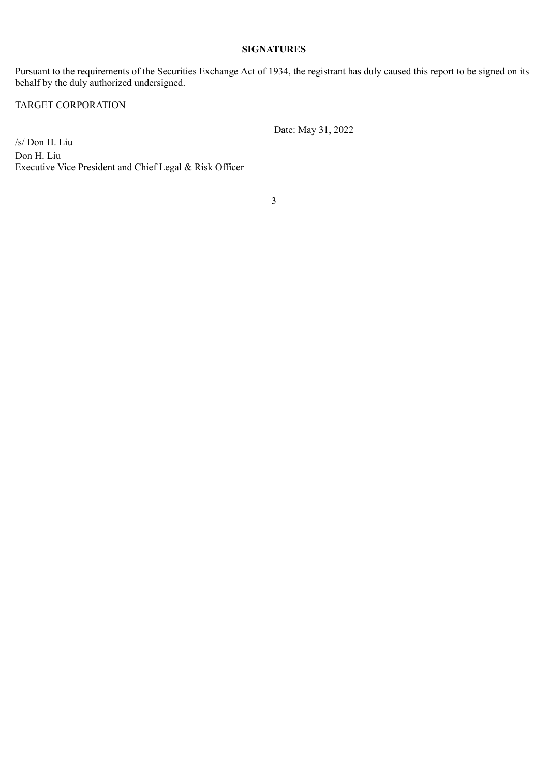#### **SIGNATURES**

Pursuant to the requirements of the Securities Exchange Act of 1934, the registrant has duly caused this report to be signed on its behalf by the duly authorized undersigned.

TARGET CORPORATION

Date: May 31, 2022

/s/ Don H. Liu Don H. Liu Executive Vice President and Chief Legal & Risk Officer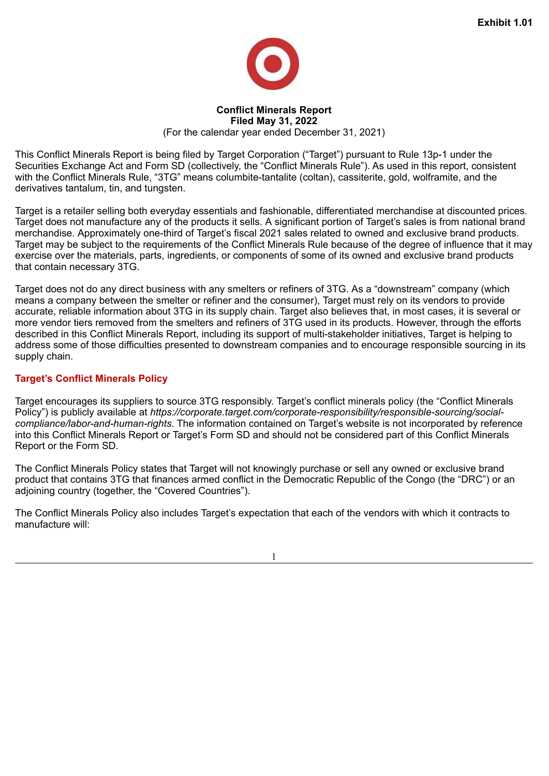

#### **Conflict Minerals Report Filed May 31, 2022** (For the calendar year ended December 31, 2021)

<span id="page-3-0"></span>This Conflict Minerals Report is being filed by Target Corporation ("Target") pursuant to Rule 13p-1 under the Securities Exchange Act and Form SD (collectively, the "Conflict Minerals Rule"). As used in this report, consistent with the Conflict Minerals Rule, "3TG" means columbite-tantalite (coltan), cassiterite, gold, wolframite, and the derivatives tantalum, tin, and tungsten.

Target is a retailer selling both everyday essentials and fashionable, differentiated merchandise at discounted prices. Target does not manufacture any of the products it sells. A significant portion of Target's sales is from national brand merchandise. Approximately one-third of Target's fiscal 2021 sales related to owned and exclusive brand products. Target may be subject to the requirements of the Conflict Minerals Rule because of the degree of influence that it may exercise over the materials, parts, ingredients, or components of some of its owned and exclusive brand products that contain necessary 3TG.

Target does not do any direct business with any smelters or refiners of 3TG. As a "downstream" company (which means a company between the smelter or refiner and the consumer), Target must rely on its vendors to provide accurate, reliable information about 3TG in its supply chain. Target also believes that, in most cases, it is several or more vendor tiers removed from the smelters and refiners of 3TG used in its products. However, through the efforts described in this Conflict Minerals Report, including its support of multi-stakeholder initiatives, Target is helping to address some of those difficulties presented to downstream companies and to encourage responsible sourcing in its supply chain.

# **Target's Conflict Minerals Policy**

Target encourages its suppliers to source 3TG responsibly. Target's conflict minerals policy (the "Conflict Minerals Policy") is publicly available at *https://corporate.target.com/corporate-responsibility/responsible-sourcing/socialcompliance/labor-and-human-rights*. The information contained on Target's website is not incorporated by reference into this Conflict Minerals Report or Target's Form SD and should not be considered part of this Conflict Minerals Report or the Form SD.

The Conflict Minerals Policy states that Target will not knowingly purchase or sell any owned or exclusive brand product that contains 3TG that finances armed conflict in the Democratic Republic of the Congo (the "DRC") or an adjoining country (together, the "Covered Countries").

The Conflict Minerals Policy also includes Target's expectation that each of the vendors with which it contracts to manufacture will:

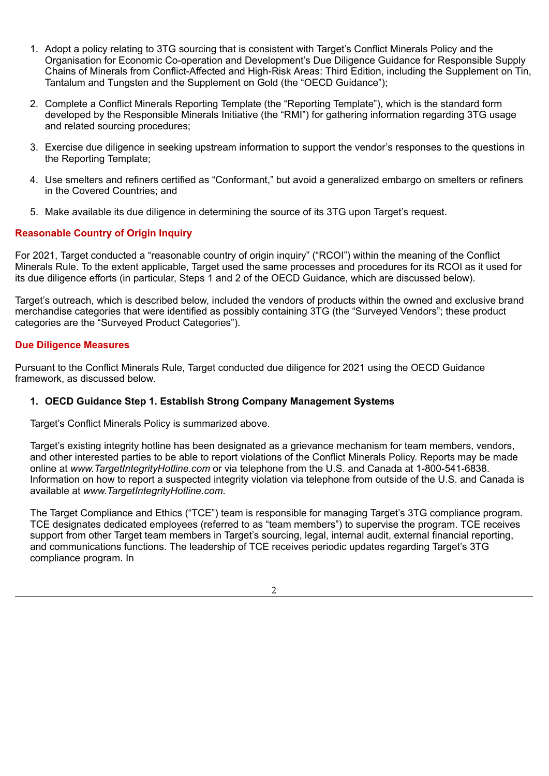- 1. Adopt a policy relating to 3TG sourcing that is consistent with Target's Conflict Minerals Policy and the Organisation for Economic Co-operation and Development's Due Diligence Guidance for Responsible Supply Chains of Minerals from Conflict-Affected and High-Risk Areas: Third Edition, including the Supplement on Tin, Tantalum and Tungsten and the Supplement on Gold (the "OECD Guidance");
- 2. Complete a Conflict Minerals Reporting Template (the "Reporting Template"), which is the standard form developed by the Responsible Minerals Initiative (the "RMI") for gathering information regarding 3TG usage and related sourcing procedures;
- 3. Exercise due diligence in seeking upstream information to support the vendor's responses to the questions in the Reporting Template;
- 4. Use smelters and refiners certified as "Conformant," but avoid a generalized embargo on smelters or refiners in the Covered Countries; and
- 5. Make available its due diligence in determining the source of its 3TG upon Target's request.

## **Reasonable Country of Origin Inquiry**

For 2021, Target conducted a "reasonable country of origin inquiry" ("RCOI") within the meaning of the Conflict Minerals Rule. To the extent applicable, Target used the same processes and procedures for its RCOI as it used for its due diligence efforts (in particular, Steps 1 and 2 of the OECD Guidance, which are discussed below).

Target's outreach, which is described below, included the vendors of products within the owned and exclusive brand merchandise categories that were identified as possibly containing 3TG (the "Surveyed Vendors"; these product categories are the "Surveyed Product Categories").

#### **Due Diligence Measures**

Pursuant to the Conflict Minerals Rule, Target conducted due diligence for 2021 using the OECD Guidance framework, as discussed below.

#### **1. OECD Guidance Step 1. Establish Strong Company Management Systems**

Target's Conflict Minerals Policy is summarized above.

Target's existing integrity hotline has been designated as a grievance mechanism for team members, vendors, and other interested parties to be able to report violations of the Conflict Minerals Policy. Reports may be made online at *www.TargetIntegrityHotline.com* or via telephone from the U.S. and Canada at 1-800-541-6838. Information on how to report a suspected integrity violation via telephone from outside of the U.S. and Canada is available at *www.TargetIntegrityHotline.com*.

The Target Compliance and Ethics ("TCE") team is responsible for managing Target's 3TG compliance program. TCE designates dedicated employees (referred to as "team members") to supervise the program. TCE receives support from other Target team members in Target's sourcing, legal, internal audit, external financial reporting, and communications functions. The leadership of TCE receives periodic updates regarding Target's 3TG compliance program. In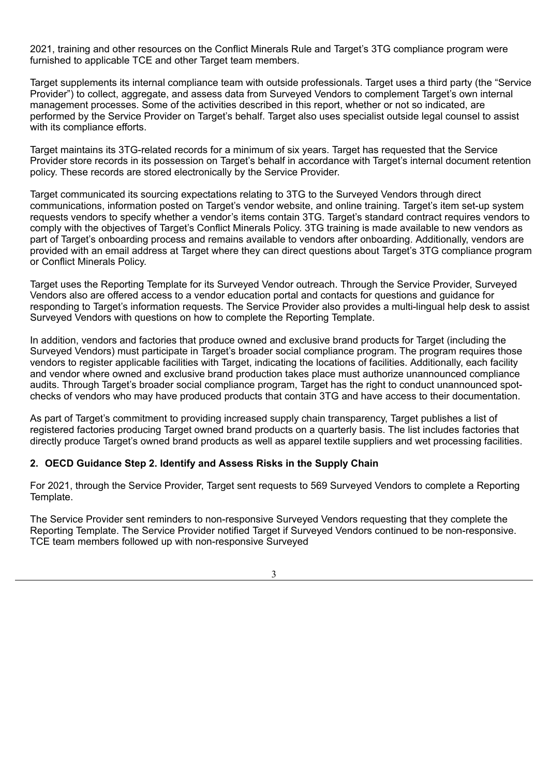2021, training and other resources on the Conflict Minerals Rule and Target's 3TG compliance program were furnished to applicable TCE and other Target team members.

Target supplements its internal compliance team with outside professionals. Target uses a third party (the "Service Provider") to collect, aggregate, and assess data from Surveyed Vendors to complement Target's own internal management processes. Some of the activities described in this report, whether or not so indicated, are performed by the Service Provider on Target's behalf. Target also uses specialist outside legal counsel to assist with its compliance efforts.

Target maintains its 3TG-related records for a minimum of six years. Target has requested that the Service Provider store records in its possession on Target's behalf in accordance with Target's internal document retention policy. These records are stored electronically by the Service Provider.

Target communicated its sourcing expectations relating to 3TG to the Surveyed Vendors through direct communications, information posted on Target's vendor website, and online training. Target's item set-up system requests vendors to specify whether a vendor's items contain 3TG. Target's standard contract requires vendors to comply with the objectives of Target's Conflict Minerals Policy. 3TG training is made available to new vendors as part of Target's onboarding process and remains available to vendors after onboarding. Additionally, vendors are provided with an email address at Target where they can direct questions about Target's 3TG compliance program or Conflict Minerals Policy.

Target uses the Reporting Template for its Surveyed Vendor outreach. Through the Service Provider, Surveyed Vendors also are offered access to a vendor education portal and contacts for questions and guidance for responding to Target's information requests. The Service Provider also provides a multi-lingual help desk to assist Surveyed Vendors with questions on how to complete the Reporting Template.

In addition, vendors and factories that produce owned and exclusive brand products for Target (including the Surveyed Vendors) must participate in Target's broader social compliance program. The program requires those vendors to register applicable facilities with Target, indicating the locations of facilities. Additionally, each facility and vendor where owned and exclusive brand production takes place must authorize unannounced compliance audits. Through Target's broader social compliance program, Target has the right to conduct unannounced spotchecks of vendors who may have produced products that contain 3TG and have access to their documentation.

As part of Target's commitment to providing increased supply chain transparency, Target publishes a list of registered factories producing Target owned brand products on a quarterly basis. The list includes factories that directly produce Target's owned brand products as well as apparel textile suppliers and wet processing facilities.

## **2. OECD Guidance Step 2. Identify and Assess Risks in the Supply Chain**

For 2021, through the Service Provider, Target sent requests to 569 Surveyed Vendors to complete a Reporting Template.

The Service Provider sent reminders to non-responsive Surveyed Vendors requesting that they complete the Reporting Template. The Service Provider notified Target if Surveyed Vendors continued to be non-responsive. TCE team members followed up with non-responsive Surveyed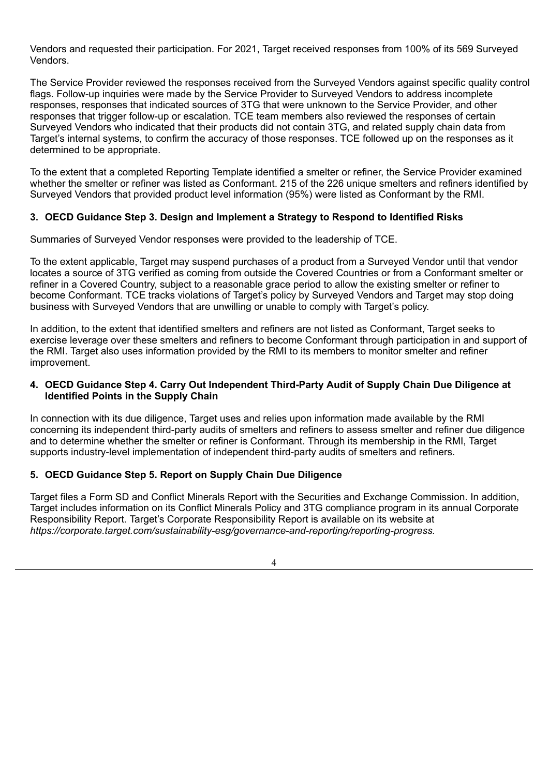Vendors and requested their participation. For 2021, Target received responses from 100% of its 569 Surveyed Vendors.

The Service Provider reviewed the responses received from the Surveyed Vendors against specific quality control flags. Follow-up inquiries were made by the Service Provider to Surveyed Vendors to address incomplete responses, responses that indicated sources of 3TG that were unknown to the Service Provider, and other responses that trigger follow-up or escalation. TCE team members also reviewed the responses of certain Surveyed Vendors who indicated that their products did not contain 3TG, and related supply chain data from Target's internal systems, to confirm the accuracy of those responses. TCE followed up on the responses as it determined to be appropriate.

To the extent that a completed Reporting Template identified a smelter or refiner, the Service Provider examined whether the smelter or refiner was listed as Conformant. 215 of the 226 unique smelters and refiners identified by Surveyed Vendors that provided product level information (95%) were listed as Conformant by the RMI.

## **3. OECD Guidance Step 3. Design and Implement a Strategy to Respond to Identified Risks**

Summaries of Surveyed Vendor responses were provided to the leadership of TCE.

To the extent applicable, Target may suspend purchases of a product from a Surveyed Vendor until that vendor locates a source of 3TG verified as coming from outside the Covered Countries or from a Conformant smelter or refiner in a Covered Country, subject to a reasonable grace period to allow the existing smelter or refiner to become Conformant. TCE tracks violations of Target's policy by Surveyed Vendors and Target may stop doing business with Surveyed Vendors that are unwilling or unable to comply with Target's policy.

In addition, to the extent that identified smelters and refiners are not listed as Conformant, Target seeks to exercise leverage over these smelters and refiners to become Conformant through participation in and support of the RMI. Target also uses information provided by the RMI to its members to monitor smelter and refiner improvement.

## **4. OECD Guidance Step 4. Carry Out Independent Third-Party Audit of Supply Chain Due Diligence at Identified Points in the Supply Chain**

In connection with its due diligence, Target uses and relies upon information made available by the RMI concerning its independent third-party audits of smelters and refiners to assess smelter and refiner due diligence and to determine whether the smelter or refiner is Conformant. Through its membership in the RMI, Target supports industry-level implementation of independent third-party audits of smelters and refiners.

## **5. OECD Guidance Step 5. Report on Supply Chain Due Diligence**

Target files a Form SD and Conflict Minerals Report with the Securities and Exchange Commission. In addition, Target includes information on its Conflict Minerals Policy and 3TG compliance program in its annual Corporate Responsibility Report. Target's Corporate Responsibility Report is available on its website at *https://corporate.target.com/sustainability-esg/governance-and-reporting/reporting-progress.*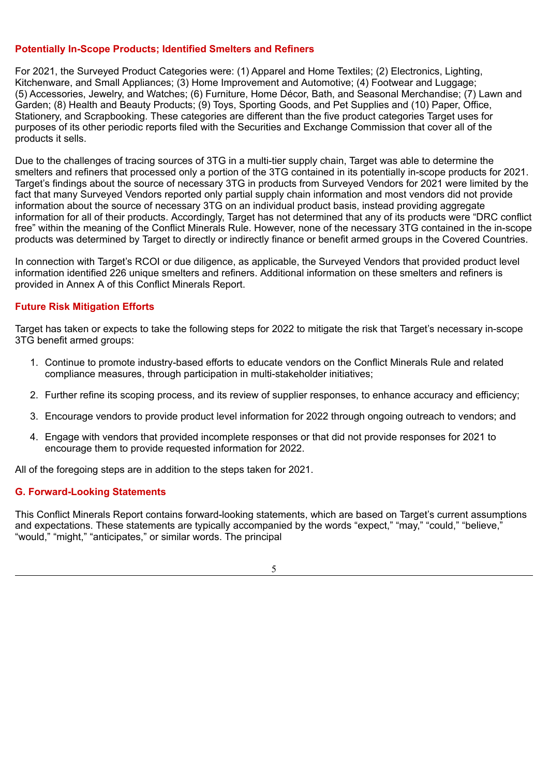## **Potentially In-Scope Products; Identified Smelters and Refiners**

For 2021, the Surveyed Product Categories were: (1) Apparel and Home Textiles; (2) Electronics, Lighting, Kitchenware, and Small Appliances; (3) Home Improvement and Automotive; (4) Footwear and Luggage; (5) Accessories, Jewelry, and Watches; (6) Furniture, Home Décor, Bath, and Seasonal Merchandise; (7) Lawn and Garden; (8) Health and Beauty Products; (9) Toys, Sporting Goods, and Pet Supplies and (10) Paper, Office, Stationery, and Scrapbooking. These categories are different than the five product categories Target uses for purposes of its other periodic reports filed with the Securities and Exchange Commission that cover all of the products it sells.

Due to the challenges of tracing sources of 3TG in a multi-tier supply chain, Target was able to determine the smelters and refiners that processed only a portion of the 3TG contained in its potentially in-scope products for 2021. Target's findings about the source of necessary 3TG in products from Surveyed Vendors for 2021 were limited by the fact that many Surveyed Vendors reported only partial supply chain information and most vendors did not provide information about the source of necessary 3TG on an individual product basis, instead providing aggregate information for all of their products. Accordingly, Target has not determined that any of its products were "DRC conflict free" within the meaning of the Conflict Minerals Rule. However, none of the necessary 3TG contained in the in-scope products was determined by Target to directly or indirectly finance or benefit armed groups in the Covered Countries.

In connection with Target's RCOI or due diligence, as applicable, the Surveyed Vendors that provided product level information identified 226 unique smelters and refiners. Additional information on these smelters and refiners is provided in Annex A of this Conflict Minerals Report.

## **Future Risk Mitigation Efforts**

Target has taken or expects to take the following steps for 2022 to mitigate the risk that Target's necessary in-scope 3TG benefit armed groups:

- 1. Continue to promote industry-based efforts to educate vendors on the Conflict Minerals Rule and related compliance measures, through participation in multi-stakeholder initiatives;
- 2. Further refine its scoping process, and its review of supplier responses, to enhance accuracy and efficiency;
- 3. Encourage vendors to provide product level information for 2022 through ongoing outreach to vendors; and
- 4. Engage with vendors that provided incomplete responses or that did not provide responses for 2021 to encourage them to provide requested information for 2022.

All of the foregoing steps are in addition to the steps taken for 2021.

#### **G. Forward-Looking Statements**

This Conflict Minerals Report contains forward-looking statements, which are based on Target's current assumptions and expectations. These statements are typically accompanied by the words "expect," "may," "could," "believe," "would," "might," "anticipates," or similar words. The principal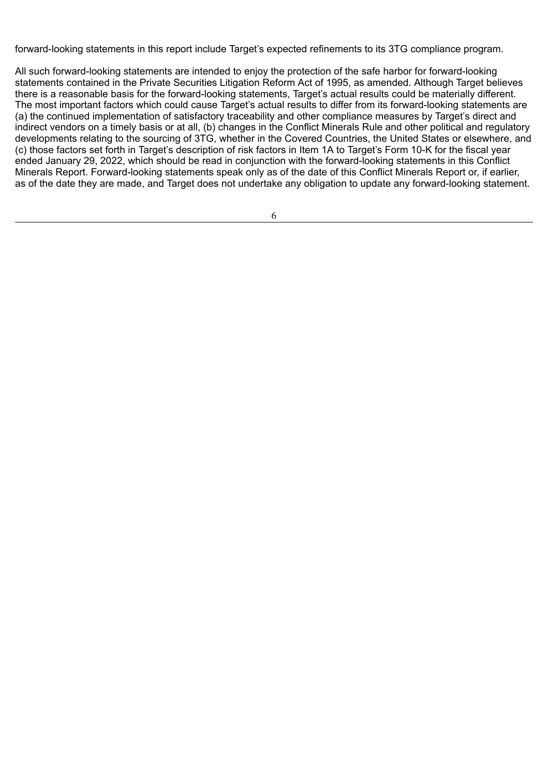forward-looking statements in this report include Target's expected refinements to its 3TG compliance program.

All such forward-looking statements are intended to enjoy the protection of the safe harbor for forward-looking statements contained in the Private Securities Litigation Reform Act of 1995, as amended. Although Target believes there is a reasonable basis for the forward-looking statements, Target's actual results could be materially different. The most important factors which could cause Target's actual results to differ from its forward-looking statements are (a) the continued implementation of satisfactory traceability and other compliance measures by Target's direct and indirect vendors on a timely basis or at all, (b) changes in the Conflict Minerals Rule and other political and regulatory developments relating to the sourcing of 3TG, whether in the Covered Countries, the United States or elsewhere, and (c) those factors set forth in Target's description of risk factors in Item 1A to Target's Form 10-K for the fiscal year ended January 29, 2022, which should be read in conjunction with the forward-looking statements in this Conflict Minerals Report. Forward-looking statements speak only as of the date of this Conflict Minerals Report or, if earlier, as of the date they are made, and Target does not undertake any obligation to update any forward-looking statement.

| ٧<br>٧<br>I                 |  |
|-----------------------------|--|
| ٠                           |  |
| e<br>I<br>I<br>×<br>I<br>۰, |  |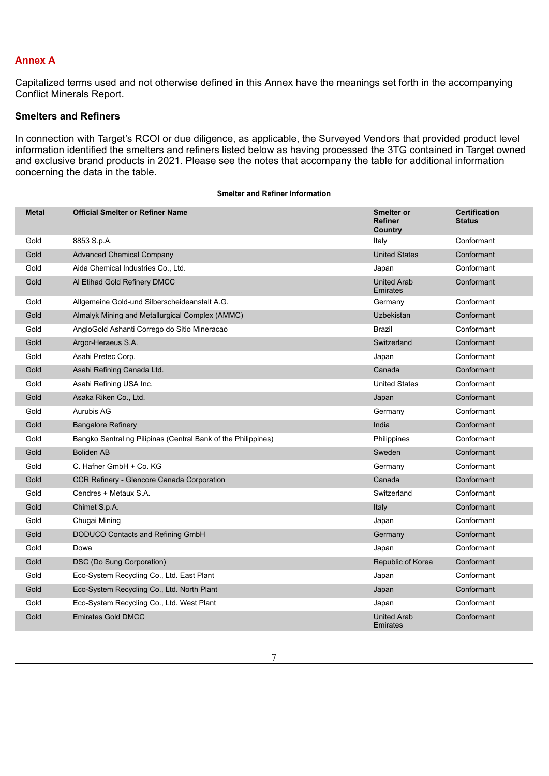## **Annex A**

Capitalized terms used and not otherwise defined in this Annex have the meanings set forth in the accompanying Conflict Minerals Report.

## **Smelters and Refiners**

In connection with Target's RCOI or due diligence, as applicable, the Surveyed Vendors that provided product level information identified the smelters and refiners listed below as having processed the 3TG contained in Target owned and exclusive brand products in 2021. Please see the notes that accompany the table for additional information concerning the data in the table.

**Smelter and Refiner Information**

| <b>Metal</b> | <b>Official Smelter or Refiner Name</b>                       | <b>Smelter or</b><br><b>Refiner</b><br>Country | <b>Certification</b><br><b>Status</b> |
|--------------|---------------------------------------------------------------|------------------------------------------------|---------------------------------------|
| Gold         | 8853 S.p.A.                                                   | Italy                                          | Conformant                            |
| Gold         | <b>Advanced Chemical Company</b>                              | <b>United States</b>                           | Conformant                            |
| Gold         | Aida Chemical Industries Co., Ltd.                            | Japan                                          | Conformant                            |
| Gold         | Al Etihad Gold Refinery DMCC                                  | <b>United Arab</b><br>Emirates                 | Conformant                            |
| Gold         | Allgemeine Gold-und Silberscheideanstalt A.G.                 | Germany                                        | Conformant                            |
| Gold         | Almalyk Mining and Metallurgical Complex (AMMC)               | Uzbekistan                                     | Conformant                            |
| Gold         | AngloGold Ashanti Corrego do Sitio Mineracao                  | Brazil                                         | Conformant                            |
| Gold         | Argor-Heraeus S.A.                                            | Switzerland                                    | Conformant                            |
| Gold         | Asahi Pretec Corp.                                            | Japan                                          | Conformant                            |
| Gold         | Asahi Refining Canada Ltd.                                    | Canada                                         | Conformant                            |
| Gold         | Asahi Refining USA Inc.                                       | <b>United States</b>                           | Conformant                            |
| Gold         | Asaka Riken Co., Ltd.                                         | Japan                                          | Conformant                            |
| Gold         | Aurubis AG                                                    | Germany                                        | Conformant                            |
| Gold         | <b>Bangalore Refinery</b>                                     | India                                          | Conformant                            |
| Gold         | Bangko Sentral ng Pilipinas (Central Bank of the Philippines) | Philippines                                    | Conformant                            |
| Gold         | <b>Boliden AB</b>                                             | Sweden                                         | Conformant                            |
| Gold         | C. Hafner GmbH + Co. KG                                       | Germany                                        | Conformant                            |
| Gold         | CCR Refinery - Glencore Canada Corporation                    | Canada                                         | Conformant                            |
| Gold         | Cendres + Metaux S.A.                                         | Switzerland                                    | Conformant                            |
| Gold         | Chimet S.p.A.                                                 | Italy                                          | Conformant                            |
| Gold         | Chugai Mining                                                 | Japan                                          | Conformant                            |
| Gold         | DODUCO Contacts and Refining GmbH                             | Germany                                        | Conformant                            |
| Gold         | Dowa                                                          | Japan                                          | Conformant                            |
| Gold         | DSC (Do Sung Corporation)                                     | Republic of Korea                              | Conformant                            |
| Gold         | Eco-System Recycling Co., Ltd. East Plant                     | Japan                                          | Conformant                            |
| Gold         | Eco-System Recycling Co., Ltd. North Plant                    | Japan                                          | Conformant                            |
| Gold         | Eco-System Recycling Co., Ltd. West Plant                     | Japan                                          | Conformant                            |
| Gold         | <b>Emirates Gold DMCC</b>                                     | <b>United Arab</b><br>Emirates                 | Conformant                            |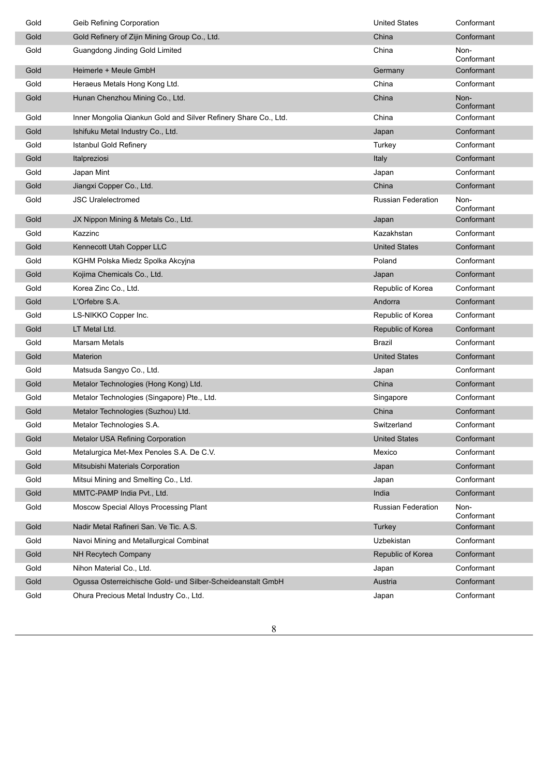| Gold | Geib Refining Corporation                                       | <b>United States</b>      | Conformant         |
|------|-----------------------------------------------------------------|---------------------------|--------------------|
| Gold | Gold Refinery of Zijin Mining Group Co., Ltd.                   | China                     | Conformant         |
| Gold | Guangdong Jinding Gold Limited                                  | China                     | Non-<br>Conformant |
| Gold | Heimerle + Meule GmbH                                           | Germany                   | Conformant         |
| Gold | Heraeus Metals Hong Kong Ltd.                                   | China                     | Conformant         |
| Gold | Hunan Chenzhou Mining Co., Ltd.                                 | China                     | Non-<br>Conformant |
| Gold | Inner Mongolia Qiankun Gold and Silver Refinery Share Co., Ltd. | China                     | Conformant         |
| Gold | Ishifuku Metal Industry Co., Ltd.                               | Japan                     | Conformant         |
| Gold | Istanbul Gold Refinery                                          | Turkey                    | Conformant         |
| Gold | Italpreziosi                                                    | Italy                     | Conformant         |
| Gold | Japan Mint                                                      | Japan                     | Conformant         |
| Gold | Jiangxi Copper Co., Ltd.                                        | China                     | Conformant         |
| Gold | <b>JSC Uralelectromed</b>                                       | <b>Russian Federation</b> | Non-<br>Conformant |
| Gold | JX Nippon Mining & Metals Co., Ltd.                             | Japan                     | Conformant         |
| Gold | Kazzinc                                                         | Kazakhstan                | Conformant         |
| Gold | Kennecott Utah Copper LLC                                       | <b>United States</b>      | Conformant         |
| Gold | KGHM Polska Miedz Spolka Akcyjna                                | Poland                    | Conformant         |
| Gold | Kojima Chemicals Co., Ltd.                                      | Japan                     | Conformant         |
| Gold | Korea Zinc Co., Ltd.                                            | Republic of Korea         | Conformant         |
| Gold | L'Orfebre S.A.                                                  | Andorra                   | Conformant         |
| Gold | LS-NIKKO Copper Inc.                                            | Republic of Korea         | Conformant         |
| Gold | LT Metal Ltd.                                                   | Republic of Korea         | Conformant         |
| Gold | <b>Marsam Metals</b>                                            | Brazil                    | Conformant         |
| Gold | Materion                                                        | <b>United States</b>      | Conformant         |
| Gold | Matsuda Sangyo Co., Ltd.                                        | Japan                     | Conformant         |
| Gold | Metalor Technologies (Hong Kong) Ltd.                           | China                     | Conformant         |
| Gold | Metalor Technologies (Singapore) Pte., Ltd.                     | Singapore                 | Conformant         |
| Gold | Metalor Technologies (Suzhou) Ltd.                              | China                     | Conformant         |
| Gold | Metalor Technologies S.A.                                       | Switzerland               | Conformant         |
| Gold | Metalor USA Refining Corporation                                | <b>United States</b>      | Conformant         |
| Gold | Metalurgica Met-Mex Penoles S.A. De C.V.                        | Mexico                    | Conformant         |
| Gold | Mitsubishi Materials Corporation                                | Japan                     | Conformant         |
| Gold | Mitsui Mining and Smelting Co., Ltd.                            | Japan                     | Conformant         |
| Gold | MMTC-PAMP India Pvt., Ltd.                                      | India                     | Conformant         |
| Gold | Moscow Special Alloys Processing Plant                          | Russian Federation        | Non-<br>Conformant |
| Gold | Nadir Metal Rafineri San. Ve Tic. A.S.                          | Turkey                    | Conformant         |
| Gold | Navoi Mining and Metallurgical Combinat                         | Uzbekistan                | Conformant         |
| Gold | NH Recytech Company                                             | Republic of Korea         | Conformant         |
| Gold | Nihon Material Co., Ltd.                                        | Japan                     | Conformant         |
| Gold | Ogussa Osterreichische Gold- und Silber-Scheideanstalt GmbH     | Austria                   | Conformant         |
| Gold | Ohura Precious Metal Industry Co., Ltd.                         | Japan                     | Conformant         |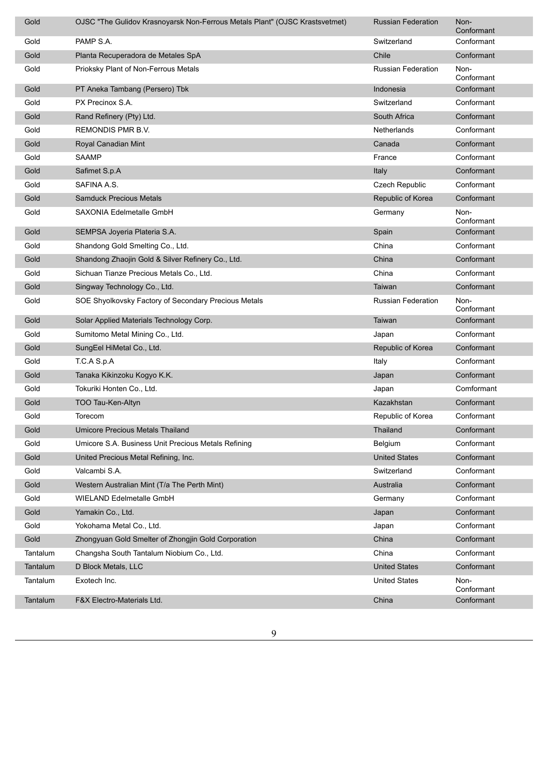| Gold     | OJSC "The Gulidov Krasnoyarsk Non-Ferrous Metals Plant" (OJSC Krastsvetmet) | <b>Russian Federation</b> | Non-<br>Conformant |
|----------|-----------------------------------------------------------------------------|---------------------------|--------------------|
| Gold     | PAMP S.A.                                                                   | Switzerland               | Conformant         |
| Gold     | Planta Recuperadora de Metales SpA                                          | Chile                     | Conformant         |
| Gold     | Prioksky Plant of Non-Ferrous Metals                                        | <b>Russian Federation</b> | Non-<br>Conformant |
| Gold     | PT Aneka Tambang (Persero) Tbk                                              | Indonesia                 | Conformant         |
| Gold     | PX Precinox S.A.                                                            | Switzerland               | Conformant         |
| Gold     | Rand Refinery (Pty) Ltd.                                                    | South Africa              | Conformant         |
| Gold     | REMONDIS PMR B.V.                                                           | Netherlands               | Conformant         |
| Gold     | Royal Canadian Mint                                                         | Canada                    | Conformant         |
| Gold     | <b>SAAMP</b>                                                                | France                    | Conformant         |
| Gold     | Safimet S.p.A                                                               | Italy                     | Conformant         |
| Gold     | SAFINA A.S.                                                                 | <b>Czech Republic</b>     | Conformant         |
| Gold     | <b>Samduck Precious Metals</b>                                              | Republic of Korea         | Conformant         |
| Gold     | SAXONIA Edelmetalle GmbH                                                    | Germany                   | Non-<br>Conformant |
| Gold     | SEMPSA Joyeria Plateria S.A.                                                | Spain                     | Conformant         |
| Gold     | Shandong Gold Smelting Co., Ltd.                                            | China                     | Conformant         |
| Gold     | Shandong Zhaojin Gold & Silver Refinery Co., Ltd.                           | China                     | Conformant         |
| Gold     | Sichuan Tianze Precious Metals Co., Ltd.                                    | China                     | Conformant         |
| Gold     | Singway Technology Co., Ltd.                                                | Taiwan                    | Conformant         |
| Gold     | SOE Shyolkovsky Factory of Secondary Precious Metals                        | <b>Russian Federation</b> | Non-<br>Conformant |
| Gold     | Solar Applied Materials Technology Corp.                                    | Taiwan                    | Conformant         |
| Gold     | Sumitomo Metal Mining Co., Ltd.                                             | Japan                     | Conformant         |
| Gold     | SungEel HiMetal Co., Ltd.                                                   | Republic of Korea         | Conformant         |
| Gold     | T.C.A S.p.A                                                                 | Italy                     | Conformant         |
| Gold     | Tanaka Kikinzoku Kogyo K.K.                                                 | Japan                     | Conformant         |
| Gold     | Tokuriki Honten Co., Ltd.                                                   | Japan                     | Comformant         |
| Gold     | TOO Tau-Ken-Altyn                                                           | Kazakhstan                | Conformant         |
| Gold     | Torecom                                                                     | Republic of Korea         | Conformant         |
| Gold     | <b>Umicore Precious Metals Thailand</b>                                     | Thailand                  | Conformant         |
| Gold     | Umicore S.A. Business Unit Precious Metals Refining                         | Belgium                   | Conformant         |
| Gold     | United Precious Metal Refining, Inc.                                        | <b>United States</b>      | Conformant         |
| Gold     | Valcambi S.A.                                                               | Switzerland               | Conformant         |
| Gold     | Western Australian Mint (T/a The Perth Mint)                                | Australia                 | Conformant         |
| Gold     | <b>WIELAND Edelmetalle GmbH</b>                                             | Germany                   | Conformant         |
| Gold     | Yamakin Co., Ltd.                                                           | Japan                     | Conformant         |
| Gold     | Yokohama Metal Co., Ltd.                                                    | Japan                     | Conformant         |
| Gold     | Zhongyuan Gold Smelter of Zhongjin Gold Corporation                         | China                     | Conformant         |
| Tantalum | Changsha South Tantalum Niobium Co., Ltd.                                   | China                     | Conformant         |
| Tantalum | D Block Metals, LLC                                                         | <b>United States</b>      | Conformant         |
| Tantalum | Exotech Inc.                                                                | <b>United States</b>      | Non-<br>Conformant |
| Tantalum | F&X Electro-Materials Ltd.                                                  | China                     | Conformant         |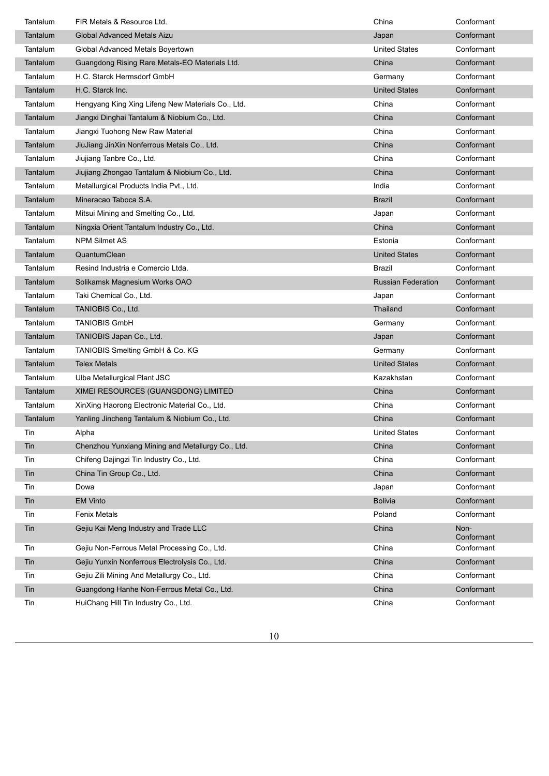| Tantalum | FIR Metals & Resource Ltd.                        | China                     | Conformant         |
|----------|---------------------------------------------------|---------------------------|--------------------|
| Tantalum | <b>Global Advanced Metals Aizu</b>                | Japan                     | Conformant         |
| Tantalum | Global Advanced Metals Boyertown                  | <b>United States</b>      | Conformant         |
| Tantalum | Guangdong Rising Rare Metals-EO Materials Ltd.    | China                     | Conformant         |
| Tantalum | H.C. Starck Hermsdorf GmbH                        | Germany                   | Conformant         |
| Tantalum | H.C. Starck Inc.                                  | <b>United States</b>      | Conformant         |
| Tantalum | Hengyang King Xing Lifeng New Materials Co., Ltd. | China                     | Conformant         |
| Tantalum | Jiangxi Dinghai Tantalum & Niobium Co., Ltd.      | China                     | Conformant         |
| Tantalum | Jiangxi Tuohong New Raw Material                  | China                     | Conformant         |
| Tantalum | JiuJiang JinXin Nonferrous Metals Co., Ltd.       | China                     | Conformant         |
| Tantalum | Jiujiang Tanbre Co., Ltd.                         | China                     | Conformant         |
| Tantalum | Jiujiang Zhongao Tantalum & Niobium Co., Ltd.     | China                     | Conformant         |
| Tantalum | Metallurgical Products India Pvt., Ltd.           | India                     | Conformant         |
| Tantalum | Mineracao Taboca S.A.                             | Brazil                    | Conformant         |
| Tantalum | Mitsui Mining and Smelting Co., Ltd.              | Japan                     | Conformant         |
| Tantalum | Ningxia Orient Tantalum Industry Co., Ltd.        | China                     | Conformant         |
| Tantalum | <b>NPM Silmet AS</b>                              | Estonia                   | Conformant         |
| Tantalum | QuantumClean                                      | <b>United States</b>      | Conformant         |
| Tantalum | Resind Industria e Comercio Ltda.                 | Brazil                    | Conformant         |
| Tantalum | Solikamsk Magnesium Works OAO                     | <b>Russian Federation</b> | Conformant         |
| Tantalum | Taki Chemical Co., Ltd.                           | Japan                     | Conformant         |
| Tantalum | TANIOBIS Co., Ltd.                                | Thailand                  | Conformant         |
| Tantalum | <b>TANIOBIS GmbH</b>                              | Germany                   | Conformant         |
| Tantalum | TANIOBIS Japan Co., Ltd.                          | Japan                     | Conformant         |
| Tantalum | TANIOBIS Smelting GmbH & Co. KG                   | Germany                   | Conformant         |
| Tantalum | <b>Telex Metals</b>                               | <b>United States</b>      | Conformant         |
| Tantalum | Ulba Metallurgical Plant JSC                      | Kazakhstan                | Conformant         |
| Tantalum | XIMEI RESOURCES (GUANGDONG) LIMITED               | China                     | Conformant         |
| Tantalum | XinXing Haorong Electronic Material Co., Ltd.     | China                     | Conformant         |
| Tantalum | Yanling Jincheng Tantalum & Niobium Co., Ltd.     | China                     | Conformant         |
| Tin      | Alpha                                             | <b>United States</b>      | Conformant         |
| Tin      | Chenzhou Yunxiang Mining and Metallurgy Co., Ltd. | China                     | Conformant         |
| Tin      | Chifeng Dajingzi Tin Industry Co., Ltd.           | China                     | Conformant         |
| Tin      | China Tin Group Co., Ltd.                         | China                     | Conformant         |
| Tin      | Dowa                                              | Japan                     | Conformant         |
| Tin      | <b>EM Vinto</b>                                   | <b>Bolivia</b>            | Conformant         |
| Tin      | <b>Fenix Metals</b>                               | Poland                    | Conformant         |
| Tin      | Gejiu Kai Meng Industry and Trade LLC             | China                     | Non-<br>Conformant |
| Tin      | Gejiu Non-Ferrous Metal Processing Co., Ltd.      | China                     | Conformant         |
| Tin      | Gejiu Yunxin Nonferrous Electrolysis Co., Ltd.    | China                     | Conformant         |
| Tin      | Gejiu Zili Mining And Metallurgy Co., Ltd.        | China                     | Conformant         |
| Tin      | Guangdong Hanhe Non-Ferrous Metal Co., Ltd.       | China                     | Conformant         |
| Tin      | HuiChang Hill Tin Industry Co., Ltd.              | China                     | Conformant         |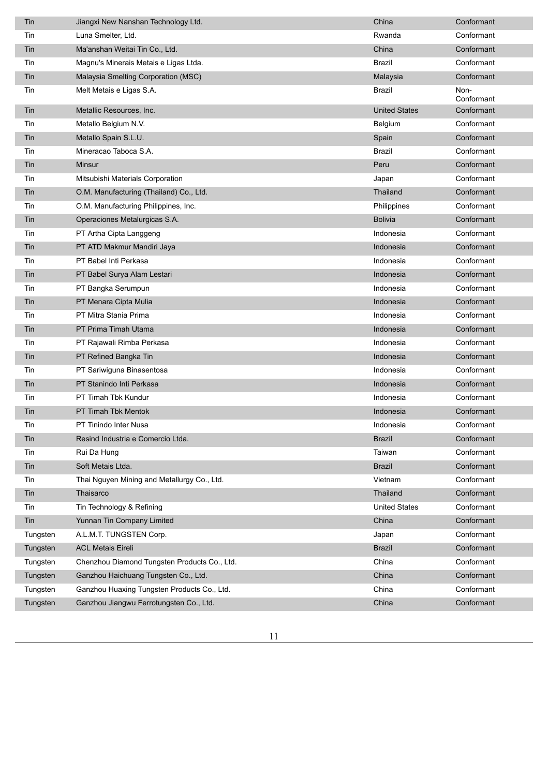| Tin      | Jiangxi New Nanshan Technology Ltd.          | China                | Conformant         |
|----------|----------------------------------------------|----------------------|--------------------|
| Tin      | Luna Smelter, Ltd.                           | Rwanda               | Conformant         |
| Tin      | Ma'anshan Weitai Tin Co., Ltd.               | China                | Conformant         |
| Tin      | Magnu's Minerais Metais e Ligas Ltda.        | Brazil               | Conformant         |
| Tin      | Malaysia Smelting Corporation (MSC)          | Malaysia             | Conformant         |
| Tin      | Melt Metais e Ligas S.A.                     | Brazil               | Non-<br>Conformant |
| Tin      | Metallic Resources, Inc.                     | <b>United States</b> | Conformant         |
| Tin      | Metallo Belgium N.V.                         | Belgium              | Conformant         |
| Tin      | Metallo Spain S.L.U.                         | Spain                | Conformant         |
| Tin      | Mineracao Taboca S.A.                        | Brazil               | Conformant         |
| Tin      | Minsur                                       | Peru                 | Conformant         |
| Tin      | Mitsubishi Materials Corporation             | Japan                | Conformant         |
| Tin      | O.M. Manufacturing (Thailand) Co., Ltd.      | Thailand             | Conformant         |
| Tin      | O.M. Manufacturing Philippines, Inc.         | Philippines          | Conformant         |
| Tin      | Operaciones Metalurgicas S.A.                | <b>Bolivia</b>       | Conformant         |
| Tin      | PT Artha Cipta Langgeng                      | Indonesia            | Conformant         |
| Tin      | PT ATD Makmur Mandiri Jaya                   | Indonesia            | Conformant         |
| Tin      | PT Babel Inti Perkasa                        | Indonesia            | Conformant         |
| Tin      | PT Babel Surya Alam Lestari                  | Indonesia            | Conformant         |
| Tin      | PT Bangka Serumpun                           | Indonesia            | Conformant         |
| Tin      | PT Menara Cipta Mulia                        | Indonesia            | Conformant         |
| Tin      | PT Mitra Stania Prima                        | Indonesia            | Conformant         |
| Tin      | PT Prima Timah Utama                         | Indonesia            | Conformant         |
| Tin      | PT Rajawali Rimba Perkasa                    | Indonesia            | Conformant         |
| Tin      | PT Refined Bangka Tin                        | Indonesia            | Conformant         |
| Tin      | PT Sariwiguna Binasentosa                    | Indonesia            | Conformant         |
| Tin      | PT Stanindo Inti Perkasa                     | Indonesia            | Conformant         |
| Tin      | PT Timah Tbk Kundur                          | Indonesia            | Conformant         |
| Tin      | PT Timah Tbk Mentok                          | Indonesia            | Conformant         |
| Tin      | PT Tinindo Inter Nusa                        | Indonesia            | Conformant         |
| Tin      | Resind Industria e Comercio Ltda.            | <b>Brazil</b>        | Conformant         |
| Tin      | Rui Da Hung                                  | Taiwan               | Conformant         |
| Tin      | Soft Metais Ltda.                            | <b>Brazil</b>        | Conformant         |
| Tin      | Thai Nguyen Mining and Metallurgy Co., Ltd.  | Vietnam              | Conformant         |
| Tin      | Thaisarco                                    | Thailand             | Conformant         |
| Tin      | Tin Technology & Refining                    | <b>United States</b> | Conformant         |
| Tin      | Yunnan Tin Company Limited                   | China                | Conformant         |
| Tungsten | A.L.M.T. TUNGSTEN Corp.                      | Japan                | Conformant         |
| Tungsten | <b>ACL Metais Eireli</b>                     | <b>Brazil</b>        | Conformant         |
| Tungsten | Chenzhou Diamond Tungsten Products Co., Ltd. | China                | Conformant         |
| Tungsten | Ganzhou Haichuang Tungsten Co., Ltd.         | China                | Conformant         |
| Tungsten | Ganzhou Huaxing Tungsten Products Co., Ltd.  | China                | Conformant         |
| Tungsten | Ganzhou Jiangwu Ferrotungsten Co., Ltd.      | China                | Conformant         |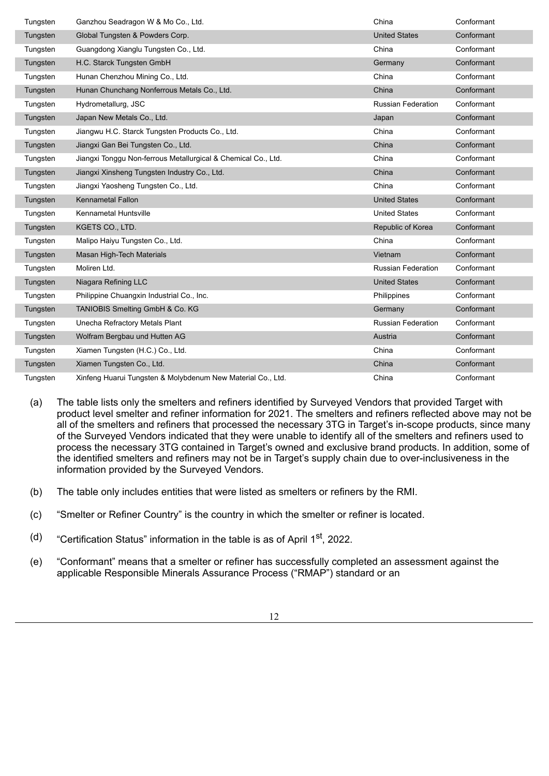| Tungsten | Ganzhou Seadragon W & Mo Co., Ltd.                            | China                     | Conformant |
|----------|---------------------------------------------------------------|---------------------------|------------|
| Tungsten | Global Tungsten & Powders Corp.                               | <b>United States</b>      | Conformant |
| Tungsten | Guangdong Xianglu Tungsten Co., Ltd.                          | China                     | Conformant |
| Tungsten | H.C. Starck Tungsten GmbH                                     | Germany                   | Conformant |
| Tungsten | Hunan Chenzhou Mining Co., Ltd.                               | China                     | Conformant |
| Tungsten | Hunan Chunchang Nonferrous Metals Co., Ltd.                   | China                     | Conformant |
| Tungsten | Hydrometallurg, JSC                                           | <b>Russian Federation</b> | Conformant |
| Tungsten | Japan New Metals Co., Ltd.                                    | Japan                     | Conformant |
| Tungsten | Jiangwu H.C. Starck Tungsten Products Co., Ltd.               | China                     | Conformant |
| Tungsten | Jiangxi Gan Bei Tungsten Co., Ltd.                            | China                     | Conformant |
| Tungsten | Jiangxi Tonggu Non-ferrous Metallurgical & Chemical Co., Ltd. | China                     | Conformant |
| Tungsten | Jiangxi Xinsheng Tungsten Industry Co., Ltd.                  | China                     | Conformant |
| Tungsten | Jiangxi Yaosheng Tungsten Co., Ltd.                           | China                     | Conformant |
| Tungsten | Kennametal Fallon                                             | <b>United States</b>      | Conformant |
| Tungsten | Kennametal Huntsville                                         | <b>United States</b>      | Conformant |
| Tungsten | KGETS CO., LTD.                                               | Republic of Korea         | Conformant |
| Tungsten | Malipo Haiyu Tungsten Co., Ltd.                               | China                     | Conformant |
| Tungsten | Masan High-Tech Materials                                     | Vietnam                   | Conformant |
| Tungsten | Moliren Ltd.                                                  | Russian Federation        | Conformant |
| Tungsten | Niagara Refining LLC                                          | <b>United States</b>      | Conformant |
| Tungsten | Philippine Chuangxin Industrial Co., Inc.                     | Philippines               | Conformant |
| Tungsten | TANIOBIS Smelting GmbH & Co. KG                               | Germany                   | Conformant |
| Tungsten | Unecha Refractory Metals Plant                                | <b>Russian Federation</b> | Conformant |
| Tungsten | Wolfram Bergbau und Hutten AG                                 | Austria                   | Conformant |
| Tungsten | Xiamen Tungsten (H.C.) Co., Ltd.                              | China                     | Conformant |
| Tungsten | Xiamen Tungsten Co., Ltd.                                     | China                     | Conformant |
| Tungsten | Xinfeng Huarui Tungsten & Molybdenum New Material Co., Ltd.   | China                     | Conformant |

(a) The table lists only the smelters and refiners identified by Surveyed Vendors that provided Target with product level smelter and refiner information for 2021. The smelters and refiners reflected above may not be all of the smelters and refiners that processed the necessary 3TG in Target's in-scope products, since many of the Surveyed Vendors indicated that they were unable to identify all of the smelters and refiners used to process the necessary 3TG contained in Target's owned and exclusive brand products. In addition, some of the identified smelters and refiners may not be in Target's supply chain due to over-inclusiveness in the information provided by the Surveyed Vendors.

- (b) The table only includes entities that were listed as smelters or refiners by the RMI.
- (c) "Smelter or Refiner Country" is the country in which the smelter or refiner is located.
- $(d)$  "Certification Status" information in the table is as of April 1<sup>st</sup>, 2022.
- (e) "Conformant" means that a smelter or refiner has successfully completed an assessment against the applicable Responsible Minerals Assurance Process ("RMAP") standard or an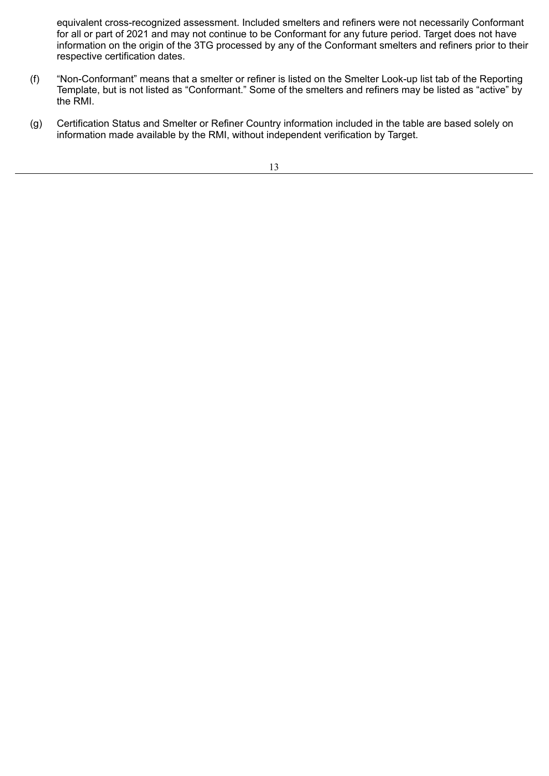equivalent cross-recognized assessment. Included smelters and refiners were not necessarily Conformant for all or part of 2021 and may not continue to be Conformant for any future period. Target does not have information on the origin of the 3TG processed by any of the Conformant smelters and refiners prior to their respective certification dates.

- (f) "Non-Conformant" means that a smelter or refiner is listed on the Smelter Look-up list tab of the Reporting Template, but is not listed as "Conformant." Some of the smelters and refiners may be listed as "active" by the RMI.
- (g) Certification Status and Smelter or Refiner Country information included in the table are based solely on information made available by the RMI, without independent verification by Target.

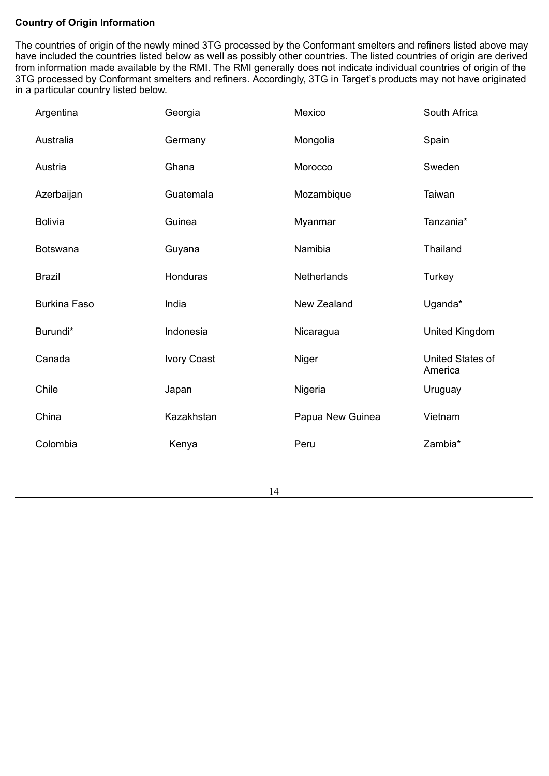# **Country of Origin Information**

The countries of origin of the newly mined 3TG processed by the Conformant smelters and refiners listed above may have included the countries listed below as well as possibly other countries. The listed countries of origin are derived from information made available by the RMI. The RMI generally does not indicate individual countries of origin of the 3TG processed by Conformant smelters and refiners. Accordingly, 3TG in Target's products may not have originated in a particular country listed below.

| Argentina           | Georgia     | Mexico           | South Africa                |
|---------------------|-------------|------------------|-----------------------------|
| Australia           | Germany     | Mongolia         | Spain                       |
| Austria             | Ghana       | Morocco          | Sweden                      |
| Azerbaijan          | Guatemala   | Mozambique       | Taiwan                      |
| <b>Bolivia</b>      | Guinea      | Myanmar          | Tanzania*                   |
| <b>Botswana</b>     | Guyana      | Namibia          | Thailand                    |
| <b>Brazil</b>       | Honduras    | Netherlands      | Turkey                      |
| <b>Burkina Faso</b> | India       | New Zealand      | Uganda*                     |
| Burundi*            | Indonesia   | Nicaragua        | United Kingdom              |
| Canada              | Ivory Coast | Niger            | United States of<br>America |
| Chile               | Japan       | Nigeria          | Uruguay                     |
| China               | Kazakhstan  | Papua New Guinea | Vietnam                     |
| Colombia            | Kenya       | Peru             | Zambia*                     |